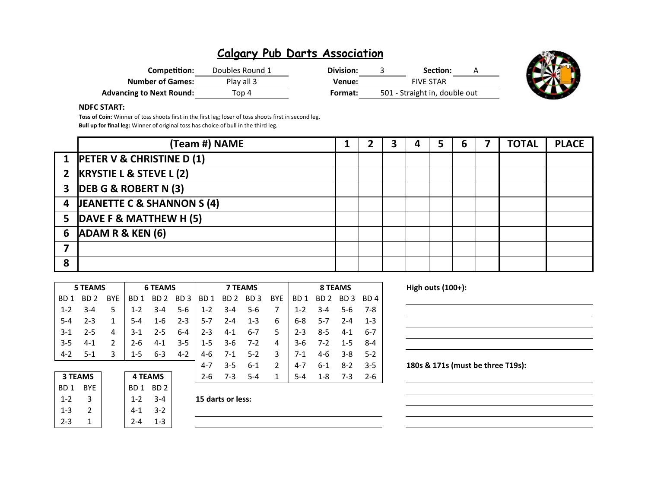# **Calgary Pub Darts Association**

| Competition:                    | Doubles Round 1 | Division: | Section:                      |  |
|---------------------------------|-----------------|-----------|-------------------------------|--|
| <b>Number of Games:</b>         | Play all 3      | Venue:    | <b>FIVE STAR</b>              |  |
| <b>Advancing to Next Round:</b> | Top 4           | Format:   | 501 - Straight in, double out |  |



### **NDFC START:**

**Toss of Coin:** Winner of toss shoots first in the first leg; loser of toss shoots first in second leg. **Bull up for final leg:** Winner of original toss has choice of bull in the third leg.

|   | (Team #) NAME                    |  |  | 5 | ь | <b>TOTAL</b> | <b>PLACE</b> |
|---|----------------------------------|--|--|---|---|--------------|--------------|
|   | 1 PETER V & CHRISTINE D (1)      |  |  |   |   |              |              |
|   | 2 KRYSTIE L & STEVE L (2)        |  |  |   |   |              |              |
|   | 3 DEB G & ROBERT N (3)           |  |  |   |   |              |              |
|   | 4 JEANETTE C & SHANNON S (4)     |  |  |   |   |              |              |
|   | 5 $\vert$ DAVE F & MATTHEW H (5) |  |  |   |   |              |              |
|   | 6 $ADAM R & KEN (6)$             |  |  |   |   |              |              |
|   |                                  |  |  |   |   |              |              |
| 8 |                                  |  |  |   |   |              |              |

| High outs (100+):                 |         |         | 8 TEAMS         |         |     | <b>7 TEAMS</b>  |                 |                 |                 | <b>6 TEAMS</b>  |                 |            | <b>5 TEAMS</b>  |                 |
|-----------------------------------|---------|---------|-----------------|---------|-----|-----------------|-----------------|-----------------|-----------------|-----------------|-----------------|------------|-----------------|-----------------|
|                                   | BD 4    | BD 3    | BD <sub>2</sub> | BD 1    | BYE | BD <sub>3</sub> | BD <sub>2</sub> | BD <sub>1</sub> | BD <sub>3</sub> | BD <sub>2</sub> | BD <sub>1</sub> | <b>BYE</b> | BD <sub>2</sub> | BD <sub>1</sub> |
|                                   | 7-8     | $5-6$   | $3 - 4$         | $1 - 2$ |     | 5-6             | $3 - 4$         | $1 - 2$         | $5 - 6$         | $3 - 4$         | $1 - 2$         | 5          | $3 - 4$         | $1 - 2$         |
|                                   | $1 - 3$ | $2 - 4$ | 5-7             | $6 - 8$ | 6   | $1 - 3$         | $2 - 4$         | $5 - 7$         | $2 - 3$         | $1 - 6$         | $5 - 4$         |            | $2 - 3$         | 5-4             |
|                                   | $6 - 7$ | $4 - 1$ | $8 - 5$         | $2 - 3$ | 5.  | $6 - 7$         | $4 - 1$         | $2 - 3$         | $6-4$           | $2 - 5$         | $3-1$           | 4          | $2 - 5$         | $3-1$           |
|                                   | 8-4     | $1 - 5$ | $7 - 2$         | $3 - 6$ | 4   | $7-2$           | $3-6$           | $1 - 5$         | $3 - 5$         | $4-1$           | 2-6             |            | $4 - 1$         | $3 - 5$         |
|                                   | $5-2$   | $3 - 8$ | $4-6$           | $7-1$   | 3   | $5 - 2$         | $7-1$           | 4-6             | $4 - 2$         | $6 - 3$         | 1-5             | 3          | -5-1            | $4 - 2$         |
| 180s & 171s (must be three T19s): | $3 - 5$ | $8 - 2$ | $6 - 1$         | 4-7     | 2   | $6 - 1$         | $3 - 5$         | $4 - 7$         |                 |                 |                 |            |                 |                 |
|                                   | $2 - 6$ | $7-3$   | $1 - 8$         | $5 - 4$ |     | $5 - 4$         | $7 - 3$         | $2 - 6$         |                 | <b>4 TEAMS</b>  |                 |            | <b>3 TEAMS</b>  |                 |
|                                   |         |         |                 |         |     |                 |                 |                 |                 | BD <sub>2</sub> | BD 1            |            | <b>BYE</b>      | BD <sub>1</sub> |

1-2 3 1-2 3-4 **15 darts or less:**

 $1-3$  2  $4-1$  3-2  $2-3$  1  $2-4$  1-3

| High outs (100+): |                                   |  |  |
|-------------------|-----------------------------------|--|--|
|                   |                                   |  |  |
|                   |                                   |  |  |
|                   |                                   |  |  |
|                   |                                   |  |  |
|                   | 180s & 171s (must be three T19s): |  |  |
|                   |                                   |  |  |
|                   |                                   |  |  |
|                   |                                   |  |  |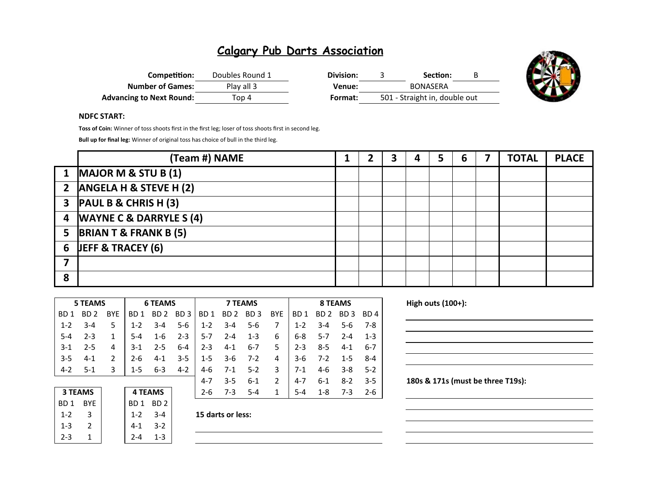# **Calgary Pub Darts Association**

| Competition:                    | Doubles Round 1 | Division: |  | Section:                      |  |
|---------------------------------|-----------------|-----------|--|-------------------------------|--|
| <b>Number of Games:</b>         | Play all 3      | Venue:    |  |                               |  |
| <b>Advancing to Next Round:</b> | Top 4           | Format:   |  | 501 - Straight in, double out |  |



### **NDFC START:**

**Toss of Coin:** Winner of toss shoots first in the first leg; loser of toss shoots first in second leg.

**Bull up for final leg:** Winner of original toss has choice of bull in the third leg.

|   | (Team #) NAME                    |  | 3 | 5 | 6 | 7 | <b>TOTAL</b> | <b>PLACE</b> |
|---|----------------------------------|--|---|---|---|---|--------------|--------------|
|   | 1 MAJOR M & STU B $(1)$          |  |   |   |   |   |              |              |
|   | 2 $ANSELA H & STEVE H (2)$       |  |   |   |   |   |              |              |
|   | $3$ PAUL B & CHRIS H (3)         |  |   |   |   |   |              |              |
|   | 4 WAYNE C & DARRYLE S (4)        |  |   |   |   |   |              |              |
| 5 | <b>BRIAN T &amp; FRANK B (5)</b> |  |   |   |   |   |              |              |
|   | 6 JEFF & TRACEY $(6)$            |  |   |   |   |   |              |              |
|   |                                  |  |   |   |   |   |              |              |
| 8 |                                  |  |   |   |   |   |              |              |

|                  | <b>5 TEAMS</b>                   |            | <b>6 TEAMS</b>  |                 |                 |                 | <b>7 TEAMS</b>  |                 |               |                 | <b>8 TEAMS</b>  |          |         |  |
|------------------|----------------------------------|------------|-----------------|-----------------|-----------------|-----------------|-----------------|-----------------|---------------|-----------------|-----------------|----------|---------|--|
| B <sub>D</sub> 1 | BD <sub>2</sub>                  | <b>BYE</b> | BD <sub>1</sub> | BD <sub>2</sub> | BD <sub>3</sub> | BD <sub>1</sub> | BD <sub>2</sub> | BD <sub>3</sub> | <b>BYE</b>    | BD <sub>1</sub> | BD <sub>2</sub> | BD.<br>3 | BD 4    |  |
| $1 - 2$          | 3-4                              | 5          | $1 - 2$         | $3 - 4$         | 5-6             | $1 - 2$         | $3 - 4$         | $5 - 6$         | 7             | $1 - 2$         | $3 - 4$         | 5-6      | $7-8$   |  |
| $5 - 4$          | $2 - 3$                          | 1          | $5 - 4$         | $1 - 6$         | $2 - 3$         | $5-7$           | $2 - 4$         | $1 - 3$         | 6             | $6 - 8$         | $5 - 7$         | $2 - 4$  | $1 - 3$ |  |
| $3-1$            | 2-5                              | 4          | 3-1             | $2 - 5$         | $6 - 4$         | $2 - 3$         | $4 - 1$         | 6-7             | 5             | $2 - 3$         | $8 - 5$         | $4 - 1$  | $6 - 7$ |  |
| $3 - 5$          | $4 - 1$                          | 2          | $2 - 6$         | $4 - 1$         | $3 - 5$         | $1 - 5$         | $3-6$           | $7-2$           | 4             | $3-6$           | $7 - 2$         | $1 - 5$  | $8 - 4$ |  |
| $4 - 2$          | $5-1$                            | 3          | $1 - 5$         | $6 - 3$         | $4 - 2$         | $4-6$           | $7-1$           | $5 - 2$         | 3             | $7-1$           | $4-6$           | $3 - 8$  | $5-2$   |  |
|                  |                                  |            |                 |                 |                 | $4 - 7$         | $3 - 5$         | $6 - 1$         | $\mathcal{P}$ | $4 - 7$         | $6 - 1$         | $8 - 2$  | $3 - 5$ |  |
|                  | <b>3 TEAMS</b><br><b>4 TEAMS</b> |            |                 | $2 - 6$         | $7 - 3$         | $5 - 4$         | 1               | $5 - 4$         | $1 - 8$       | $7-3$           | $2 - 6$         |          |         |  |
| BD <sub>1</sub>  | <b>BYE</b>                       |            | BD 1            | BD <sub>2</sub> |                 |                 |                 |                 |               |                 |                 |          |         |  |

| 7-3               |                 | <b>4 TEAMS</b>  |  | <b>3 TEAMS</b> |                 |  |
|-------------------|-----------------|-----------------|--|----------------|-----------------|--|
|                   | BD <sub>2</sub> | BD <sub>1</sub> |  | <b>BYF</b>     | BD <sub>1</sub> |  |
| 15 darts or less: | $3 - 4$         | $1 - 2$         |  |                | $1 - 2$         |  |
|                   | $3-2$           | $4-1$           |  |                | $1 - 3$         |  |
|                   | 1-3             |                 |  |                | $2 - 3$         |  |
|                   |                 |                 |  |                |                 |  |

| 15 darts or less |  |
|------------------|--|
|                  |  |

**High outs (100+):** 

180s & 171s (must be three T19s):